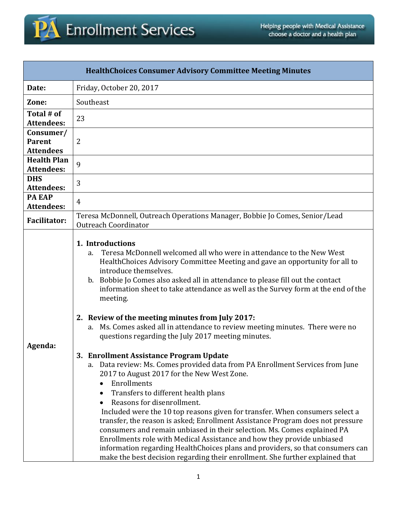

| <b>HealthChoices Consumer Advisory Committee Meeting Minutes</b> |                                                                                                                                                                                                                                                                                                                                                                                                                                                                                                                                                                                                                                                                                                                                                                                                                                                                                                                                                                                                                                                                                                                                                                                                                                                                              |  |  |  |
|------------------------------------------------------------------|------------------------------------------------------------------------------------------------------------------------------------------------------------------------------------------------------------------------------------------------------------------------------------------------------------------------------------------------------------------------------------------------------------------------------------------------------------------------------------------------------------------------------------------------------------------------------------------------------------------------------------------------------------------------------------------------------------------------------------------------------------------------------------------------------------------------------------------------------------------------------------------------------------------------------------------------------------------------------------------------------------------------------------------------------------------------------------------------------------------------------------------------------------------------------------------------------------------------------------------------------------------------------|--|--|--|
| Date:                                                            | Friday, October 20, 2017                                                                                                                                                                                                                                                                                                                                                                                                                                                                                                                                                                                                                                                                                                                                                                                                                                                                                                                                                                                                                                                                                                                                                                                                                                                     |  |  |  |
| Zone:                                                            | Southeast                                                                                                                                                                                                                                                                                                                                                                                                                                                                                                                                                                                                                                                                                                                                                                                                                                                                                                                                                                                                                                                                                                                                                                                                                                                                    |  |  |  |
| Total # of<br><b>Attendees:</b>                                  | 23                                                                                                                                                                                                                                                                                                                                                                                                                                                                                                                                                                                                                                                                                                                                                                                                                                                                                                                                                                                                                                                                                                                                                                                                                                                                           |  |  |  |
| Consumer/<br><b>Parent</b><br><b>Attendees</b>                   | $\overline{2}$                                                                                                                                                                                                                                                                                                                                                                                                                                                                                                                                                                                                                                                                                                                                                                                                                                                                                                                                                                                                                                                                                                                                                                                                                                                               |  |  |  |
| <b>Health Plan</b><br><b>Attendees:</b>                          | 9                                                                                                                                                                                                                                                                                                                                                                                                                                                                                                                                                                                                                                                                                                                                                                                                                                                                                                                                                                                                                                                                                                                                                                                                                                                                            |  |  |  |
| <b>DHS</b><br><b>Attendees:</b>                                  | 3                                                                                                                                                                                                                                                                                                                                                                                                                                                                                                                                                                                                                                                                                                                                                                                                                                                                                                                                                                                                                                                                                                                                                                                                                                                                            |  |  |  |
| <b>PA EAP</b><br><b>Attendees:</b>                               | 4                                                                                                                                                                                                                                                                                                                                                                                                                                                                                                                                                                                                                                                                                                                                                                                                                                                                                                                                                                                                                                                                                                                                                                                                                                                                            |  |  |  |
| <b>Facilitator:</b>                                              | Teresa McDonnell, Outreach Operations Manager, Bobbie Jo Comes, Senior/Lead<br><b>Outreach Coordinator</b>                                                                                                                                                                                                                                                                                                                                                                                                                                                                                                                                                                                                                                                                                                                                                                                                                                                                                                                                                                                                                                                                                                                                                                   |  |  |  |
| Agenda:                                                          | 1. Introductions<br>Teresa McDonnell welcomed all who were in attendance to the New West<br>a.<br>HealthChoices Advisory Committee Meeting and gave an opportunity for all to<br>introduce themselves.<br>b. Bobbie Jo Comes also asked all in attendance to please fill out the contact<br>information sheet to take attendance as well as the Survey form at the end of the<br>meeting.<br>2. Review of the meeting minutes from July 2017:<br>Ms. Comes asked all in attendance to review meeting minutes. There were no<br>a.<br>questions regarding the July 2017 meeting minutes.<br>3. Enrollment Assistance Program Update<br>a. Data review: Ms. Comes provided data from PA Enrollment Services from June<br>2017 to August 2017 for the New West Zone.<br>Enrollments<br>$\bullet$<br>Transfers to different health plans<br>Reasons for disenrollment.<br>Included were the 10 top reasons given for transfer. When consumers select a<br>transfer, the reason is asked; Enrollment Assistance Program does not pressure<br>consumers and remain unbiased in their selection. Ms. Comes explained PA<br>Enrollments role with Medical Assistance and how they provide unbiased<br>information regarding HealthChoices plans and providers, so that consumers can |  |  |  |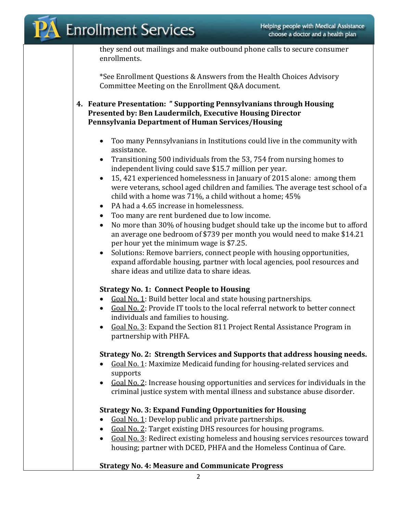they send out mailings and make outbound phone calls to secure consumer enrollments.

\*See Enrollment Questions & Answers from the Health Choices Advisory Committee Meeting on the Enrollment Q&A document.

**4. Feature Presentation: " Supporting Pennsylvanians through Housing Presented by: Ben Laudermilch, Executive Housing Director Pennsylvania Department of Human Services/Housing**

- Too many Pennsylvanians in Institutions could live in the community with assistance.
- Transitioning 500 individuals from the 53, 754 from nursing homes to independent living could save \$15.7 million per year.
- 15, 421 experienced homelessness in January of 2015 alone: among them were veterans, school aged children and families. The average test school of a child with a home was 71%, a child without a home; 45%
- PA had a 4.65 increase in homelessness.
- Too many are rent burdened due to low income.
- No more than 30% of housing budget should take up the income but to afford an average one bedroom of \$739 per month you would need to make \$14.21 per hour yet the minimum wage is \$7.25.
- Solutions: Remove barriers, connect people with housing opportunities, expand affordable housing, partner with local agencies, pool resources and share ideas and utilize data to share ideas.

## **Strategy No. 1: Connect People to Housing**

- Goal No. 1: Build better local and state housing partnerships.
- Goal No. 2: Provide IT tools to the local referral network to better connect individuals and families to housing.
- Goal No. 3: Expand the Section 811 Project Rental Assistance Program in partnership with PHFA.

## **Strategy No. 2: Strength Services and Supports that address housing needs.**

- Goal No. 1: Maximize Medicaid funding for housing-related services and supports
- Goal No. 2: Increase housing opportunities and services for individuals in the criminal justice system with mental illness and substance abuse disorder.

## **Strategy No. 3: Expand Funding Opportunities for Housing**

- Goal No. 1: Develop public and private partnerships.
- Goal No. 2: Target existing DHS resources for housing programs.
- Goal No. 3: Redirect existing homeless and housing services resources toward housing; partner with DCED, PHFA and the Homeless Continua of Care.

## **Strategy No. 4: Measure and Communicate Progress**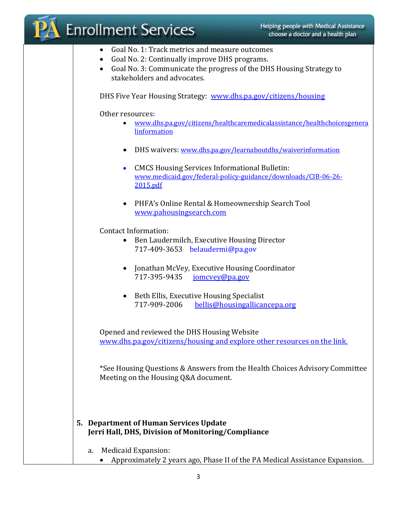|           | <b>Enrollment Services</b>                                                                                                     | Helping people with Medical Assistance<br>choose a doctor and a health plan |
|-----------|--------------------------------------------------------------------------------------------------------------------------------|-----------------------------------------------------------------------------|
| $\bullet$ | Goal No. 1: Track metrics and measure outcomes<br>Goal No. 2: Continually improve DHS programs.<br>stakeholders and advocates. | Goal No. 3: Communicate the progress of the DHS Housing Strategy to         |
|           |                                                                                                                                | DHS Five Year Housing Strategy: www.dhs.pa.gov/citizens/housing             |
|           | Other resources:<br>linformation                                                                                               | www.dhs.pa.gov/citizens/healthcaremedicalassistance/healthchoicesgenera     |
|           |                                                                                                                                | DHS waivers: www.dhs.pa.gov/learnaboutdhs/waiverinformation                 |
|           | <b>CMCS Housing Services Informational Bulletin:</b><br>$\bullet$<br>2015.pdf                                                  | www.medicaid.gov/federal-policy-guidance/downloads/CIB-06-26-               |
|           | $\bullet$<br>www.pahousingsearch.com                                                                                           | PHFA's Online Rental & Homeownership Search Tool                            |
|           | <b>Contact Information:</b><br>Ben Laudermilch, Executive Housing Director<br>$\bullet$<br>717-409-3653 belaudermi@pa.gov      |                                                                             |
|           | 717-395-9435                                                                                                                   | Jonathan McVey, Executive Housing Coordinator<br>jomcvey@pa.gov             |
|           | Beth Ellis, Executive Housing Specialist<br>717-909-2006                                                                       | bellis@housingallicancepa.org                                               |
|           | Opened and reviewed the DHS Housing Website                                                                                    | www.dhs.pa.gov/citizens/housing and explore other resources on the link.    |
|           | Meeting on the Housing Q&A document.                                                                                           | *See Housing Questions & Answers from the Health Choices Advisory Committee |
|           | 5. Department of Human Services Update<br>Jerri Hall, DHS, Division of Monitoring/Compliance                                   |                                                                             |
| a.        | Medicaid Expansion:                                                                                                            | Approximately 2 years ago, Phase II of the PA Medical Assistance Expansion. |